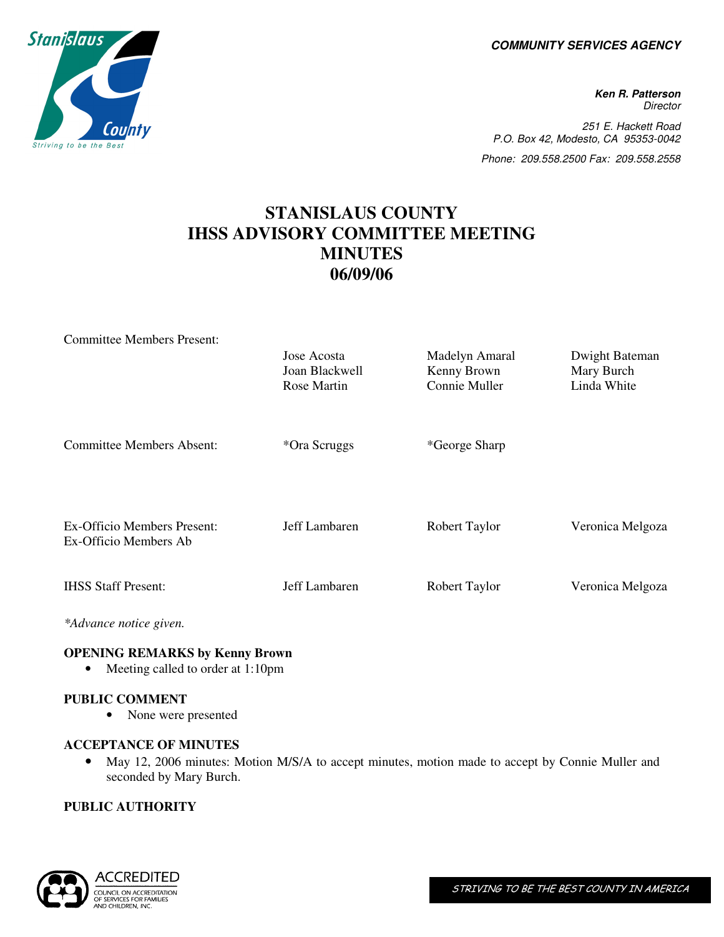**COMMUNITY SERVICES AGENCY** 

**Ken R. Patterson Director** 251 E. Hackett Road P.O. Box 42, Modesto, CA 95353-0042 Phone: 209.558.2500 Fax: 209.558.2558

## **STANISLAUS COUNTY IHSS ADVISORY COMMITTEE MEETING MINUTES 06/09/06**

| <b>Committee Members Present:</b>                    |                                              |                                                |                                             |
|------------------------------------------------------|----------------------------------------------|------------------------------------------------|---------------------------------------------|
|                                                      | Jose Acosta<br>Joan Blackwell<br>Rose Martin | Madelyn Amaral<br>Kenny Brown<br>Connie Muller | Dwight Bateman<br>Mary Burch<br>Linda White |
| <b>Committee Members Absent:</b>                     | *Ora Scruggs                                 | *George Sharp                                  |                                             |
| Ex-Officio Members Present:<br>Ex-Officio Members Ab | Jeff Lambaren                                | Robert Taylor                                  | Veronica Melgoza                            |
| <b>IHSS Staff Present:</b>                           | Jeff Lambaren                                | Robert Taylor                                  | Veronica Melgoza                            |
|                                                      |                                              |                                                |                                             |

*\*Advance notice given.* 

### **OPENING REMARKS by Kenny Brown**

• Meeting called to order at 1:10pm

### **PUBLIC COMMENT**

• None were presented

### **ACCEPTANCE OF MINUTES**

• May 12, 2006 minutes: Motion M/S/A to accept minutes, motion made to accept by Connie Muller and seconded by Mary Burch.

### **PUBLIC AUTHORITY**



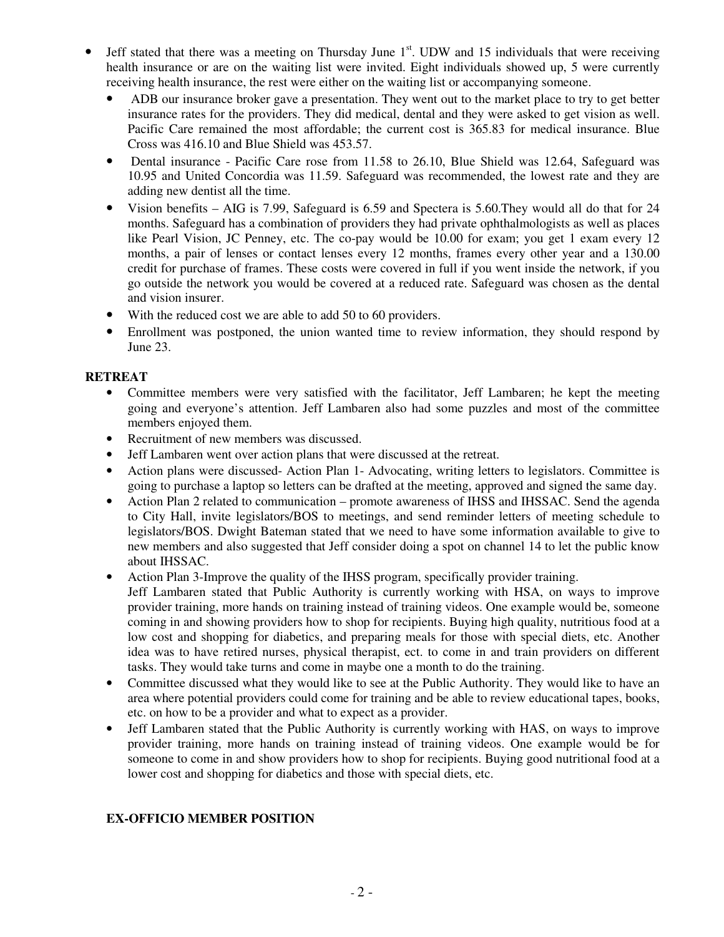- Jeff stated that there was a meeting on Thursday June  $1<sup>st</sup>$ . UDW and 15 individuals that were receiving health insurance or are on the waiting list were invited. Eight individuals showed up, 5 were currently receiving health insurance, the rest were either on the waiting list or accompanying someone.
	- ADB our insurance broker gave a presentation. They went out to the market place to try to get better insurance rates for the providers. They did medical, dental and they were asked to get vision as well. Pacific Care remained the most affordable; the current cost is 365.83 for medical insurance. Blue Cross was 416.10 and Blue Shield was 453.57.
	- Dental insurance Pacific Care rose from 11.58 to 26.10, Blue Shield was 12.64, Safeguard was 10.95 and United Concordia was 11.59. Safeguard was recommended, the lowest rate and they are adding new dentist all the time.
	- Vision benefits AIG is 7.99, Safeguard is 6.59 and Spectera is 5.60. They would all do that for 24 months. Safeguard has a combination of providers they had private ophthalmologists as well as places like Pearl Vision, JC Penney, etc. The co-pay would be 10.00 for exam; you get 1 exam every 12 months, a pair of lenses or contact lenses every 12 months, frames every other year and a 130.00 credit for purchase of frames. These costs were covered in full if you went inside the network, if you go outside the network you would be covered at a reduced rate. Safeguard was chosen as the dental and vision insurer.
	- With the reduced cost we are able to add 50 to 60 providers.
	- Enrollment was postponed, the union wanted time to review information, they should respond by June 23.

### **RETREAT**

- Committee members were very satisfied with the facilitator, Jeff Lambaren; he kept the meeting going and everyone's attention. Jeff Lambaren also had some puzzles and most of the committee members enjoyed them.
- Recruitment of new members was discussed.
- Jeff Lambaren went over action plans that were discussed at the retreat.
- Action plans were discussed-Action Plan 1-Advocating, writing letters to legislators. Committee is going to purchase a laptop so letters can be drafted at the meeting, approved and signed the same day.
- Action Plan 2 related to communication promote awareness of IHSS and IHSSAC. Send the agenda to City Hall, invite legislators/BOS to meetings, and send reminder letters of meeting schedule to legislators/BOS. Dwight Bateman stated that we need to have some information available to give to new members and also suggested that Jeff consider doing a spot on channel 14 to let the public know about IHSSAC.
- Action Plan 3-Improve the quality of the IHSS program, specifically provider training. Jeff Lambaren stated that Public Authority is currently working with HSA, on ways to improve provider training, more hands on training instead of training videos. One example would be, someone coming in and showing providers how to shop for recipients. Buying high quality, nutritious food at a low cost and shopping for diabetics, and preparing meals for those with special diets, etc. Another idea was to have retired nurses, physical therapist, ect. to come in and train providers on different tasks. They would take turns and come in maybe one a month to do the training.
- Committee discussed what they would like to see at the Public Authority. They would like to have an area where potential providers could come for training and be able to review educational tapes, books, etc. on how to be a provider and what to expect as a provider.
- Jeff Lambaren stated that the Public Authority is currently working with HAS, on ways to improve provider training, more hands on training instead of training videos. One example would be for someone to come in and show providers how to shop for recipients. Buying good nutritional food at a lower cost and shopping for diabetics and those with special diets, etc.

### **EX-OFFICIO MEMBER POSITION**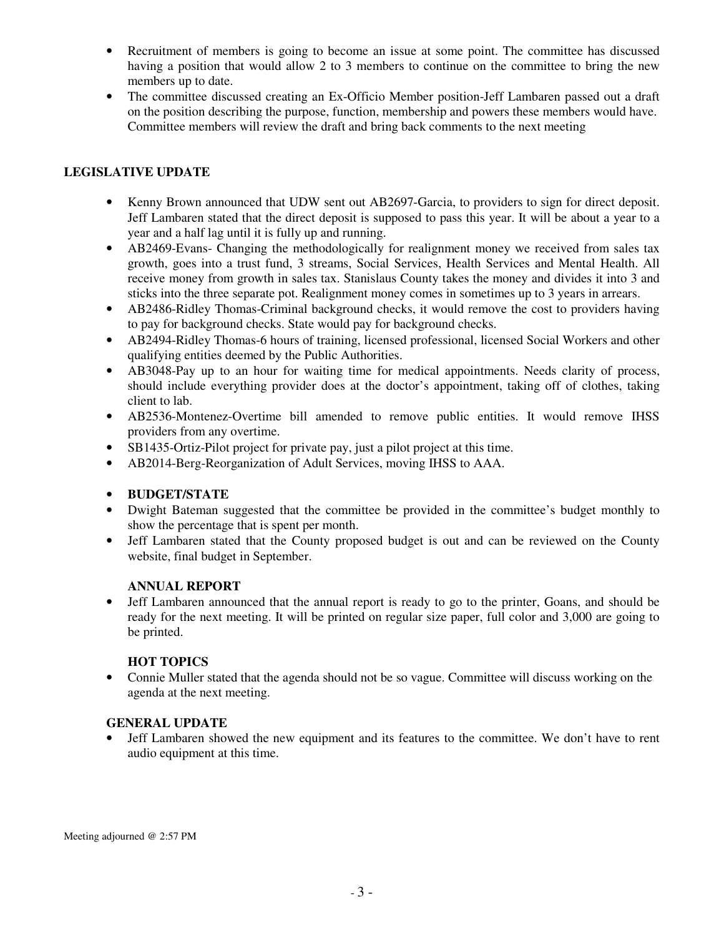- Recruitment of members is going to become an issue at some point. The committee has discussed having a position that would allow 2 to 3 members to continue on the committee to bring the new members up to date.
- The committee discussed creating an Ex-Officio Member position-Jeff Lambaren passed out a draft on the position describing the purpose, function, membership and powers these members would have. Committee members will review the draft and bring back comments to the next meeting

### **LEGISLATIVE UPDATE**

- Kenny Brown announced that UDW sent out AB2697-Garcia, to providers to sign for direct deposit. Jeff Lambaren stated that the direct deposit is supposed to pass this year. It will be about a year to a year and a half lag until it is fully up and running.
- AB2469-Evans- Changing the methodologically for realignment money we received from sales tax growth, goes into a trust fund, 3 streams, Social Services, Health Services and Mental Health. All receive money from growth in sales tax. Stanislaus County takes the money and divides it into 3 and sticks into the three separate pot. Realignment money comes in sometimes up to 3 years in arrears.
- AB2486-Ridley Thomas-Criminal background checks, it would remove the cost to providers having to pay for background checks. State would pay for background checks.
- AB2494-Ridley Thomas-6 hours of training, licensed professional, licensed Social Workers and other qualifying entities deemed by the Public Authorities.
- AB3048-Pay up to an hour for waiting time for medical appointments. Needs clarity of process, should include everything provider does at the doctor's appointment, taking off of clothes, taking client to lab.
- AB2536-Montenez-Overtime bill amended to remove public entities. It would remove IHSS providers from any overtime.
- SB1435-Ortiz-Pilot project for private pay, just a pilot project at this time.
- AB2014-Berg-Reorganization of Adult Services, moving IHSS to AAA.

### • **BUDGET/STATE**

- Dwight Bateman suggested that the committee be provided in the committee's budget monthly to show the percentage that is spent per month.
- Jeff Lambaren stated that the County proposed budget is out and can be reviewed on the County website, final budget in September.

### **ANNUAL REPORT**

• Jeff Lambaren announced that the annual report is ready to go to the printer, Goans, and should be ready for the next meeting. It will be printed on regular size paper, full color and 3,000 are going to be printed.

### **HOT TOPICS**

• Connie Muller stated that the agenda should not be so vague. Committee will discuss working on the agenda at the next meeting.

### **GENERAL UPDATE**

• Jeff Lambaren showed the new equipment and its features to the committee. We don't have to rent audio equipment at this time.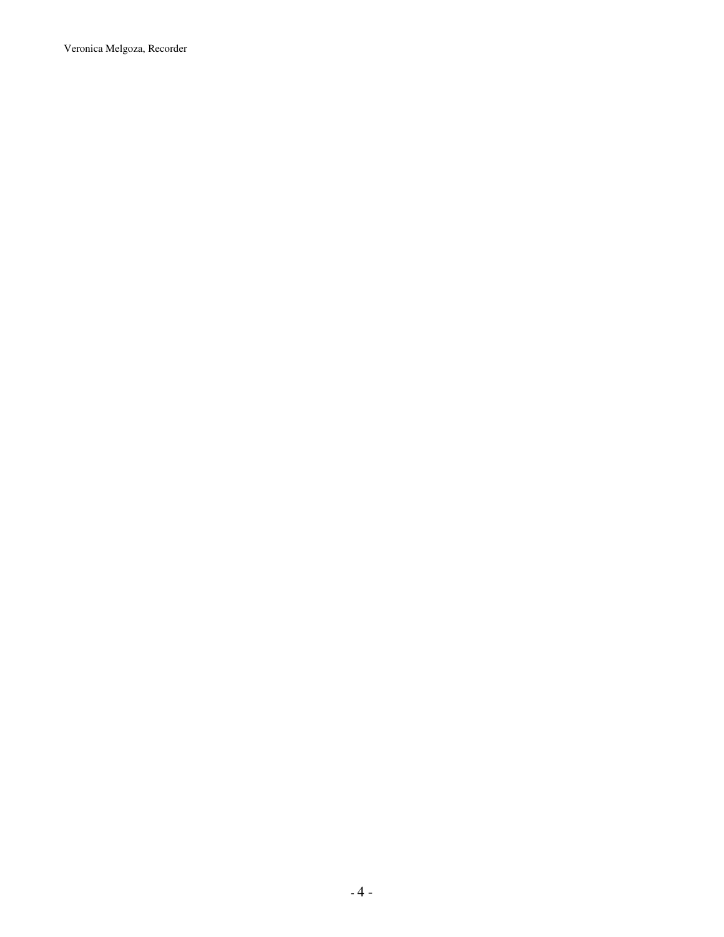Veronica Melgoza, Recorder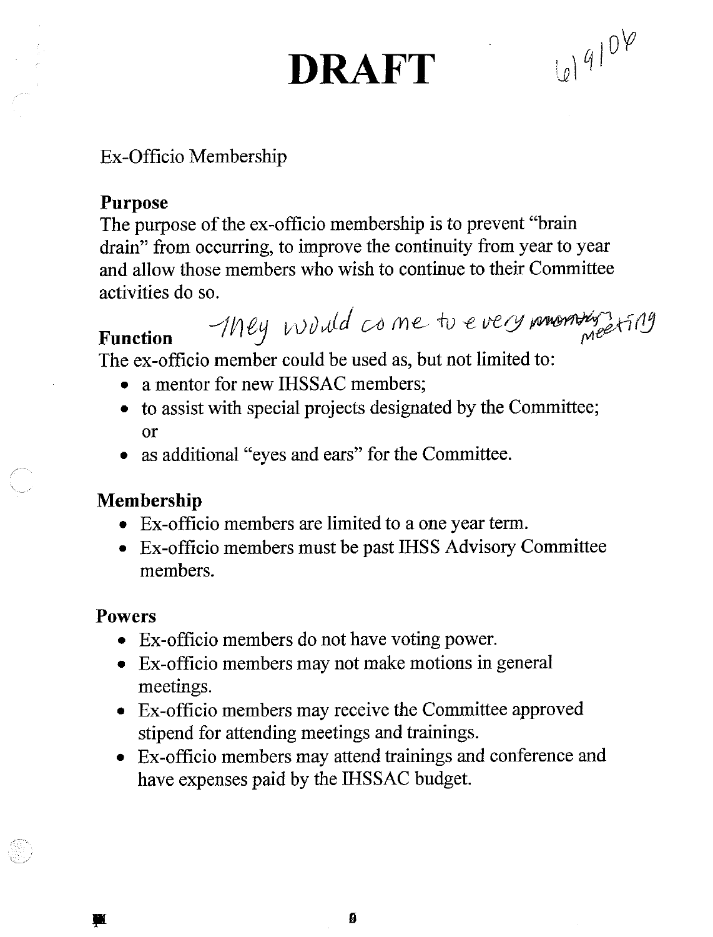## **DRAFT**

 $4104$ 

Ex-Officio Membership

## **Purpose**

The purpose of the ex-officio membership is to prevent "brain" drain" from occurring, to improve the continuity from year to year and allow those members who wish to continue to their Committee activities do so.

They would come to every momenty fing

**Function** The ex-officio member could be used as, but not limited to:

- a mentor for new IHSSAC members;  $\bullet$
- to assist with special projects designated by the Committee; or
- as additional "eyes and ears" for the Committee.

## Membership

- Ex-officio members are limited to a one year term.
- Ex-officio members must be past IHSS Advisory Committee members.

### **Powers**

- Ex-officio members do not have voting power.
- Ex-officio members may not make motions in general meetings.
- Ex-officio members may receive the Committee approved stipend for attending meetings and trainings.
- Ex-officio members may attend trainings and conference and have expenses paid by the IHSSAC budget.